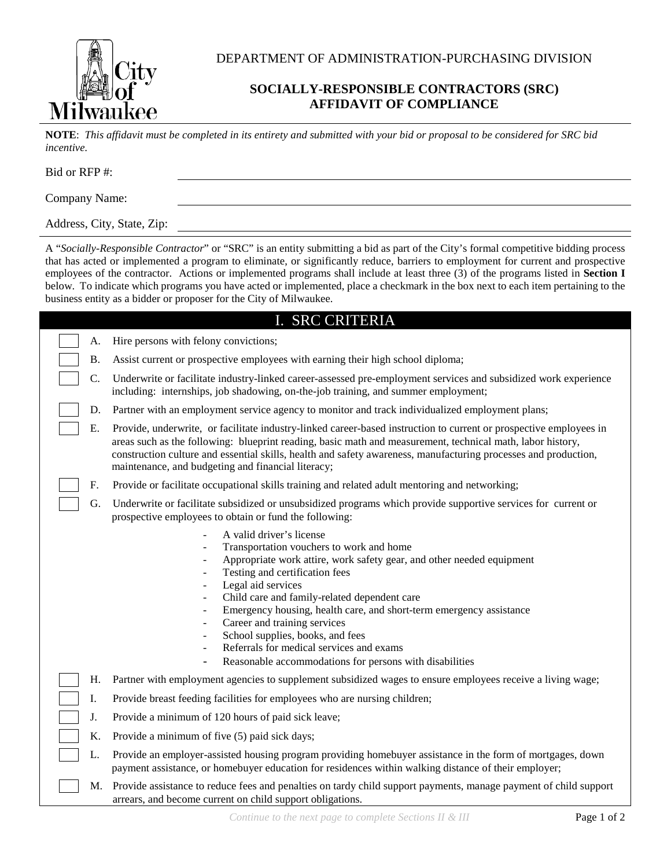

DEPARTMENT OF ADMINISTRATION-PURCHASING DIVISION

## **SOCIALLY-RESPONSIBLE CONTRACTORS (SRC) AFFIDAVIT OF COMPLIANCE**

**NOTE**: *This affidavit must be completed in its entirety and submitted with your bid or proposal to be considered for SRC bid incentive.*

Bid or RFP #:

Company Name:

Address, City, State, Zip:

A "*Socially-Responsible Contractor*" or "SRC" is an entity submitting a bid as part of the City's formal competitive bidding process that has acted or implemented a program to eliminate, or significantly reduce, barriers to employment for current and prospective employees of the contractor. Actions or implemented programs shall include at least three (3) of the programs listed in **Section I** below. To indicate which programs you have acted or implemented, place a checkmark in the box next to each item pertaining to the business entity as a bidder or proposer for the City of Milwaukee.

| I. SRC CRITERIA |  |    |                                                                                                                                                                                                                                                                                                                                                                                                                                                                                                                                                                 |  |
|-----------------|--|----|-----------------------------------------------------------------------------------------------------------------------------------------------------------------------------------------------------------------------------------------------------------------------------------------------------------------------------------------------------------------------------------------------------------------------------------------------------------------------------------------------------------------------------------------------------------------|--|
|                 |  | A. | Hire persons with felony convictions;                                                                                                                                                                                                                                                                                                                                                                                                                                                                                                                           |  |
|                 |  | Β. | Assist current or prospective employees with earning their high school diploma;                                                                                                                                                                                                                                                                                                                                                                                                                                                                                 |  |
|                 |  | C. | Underwrite or facilitate industry-linked career-assessed pre-employment services and subsidized work experience<br>including: internships, job shadowing, on-the-job training, and summer employment;                                                                                                                                                                                                                                                                                                                                                           |  |
|                 |  | D. | Partner with an employment service agency to monitor and track individualized employment plans;                                                                                                                                                                                                                                                                                                                                                                                                                                                                 |  |
|                 |  | Е. | Provide, underwrite, or facilitate industry-linked career-based instruction to current or prospective employees in<br>areas such as the following: blueprint reading, basic math and measurement, technical math, labor history,<br>construction culture and essential skills, health and safety awareness, manufacturing processes and production,<br>maintenance, and budgeting and financial literacy;                                                                                                                                                       |  |
|                 |  | F. | Provide or facilitate occupational skills training and related adult mentoring and networking;                                                                                                                                                                                                                                                                                                                                                                                                                                                                  |  |
|                 |  | G. | Underwrite or facilitate subsidized or unsubsidized programs which provide supportive services for current or<br>prospective employees to obtain or fund the following:                                                                                                                                                                                                                                                                                                                                                                                         |  |
|                 |  |    | A valid driver's license<br>$\overline{\phantom{a}}$<br>Transportation vouchers to work and home<br>Appropriate work attire, work safety gear, and other needed equipment<br>Testing and certification fees<br>Legal aid services<br>Child care and family-related dependent care<br>Emergency housing, health care, and short-term emergency assistance<br>Career and training services<br>School supplies, books, and fees<br>Referrals for medical services and exams<br>Reasonable accommodations for persons with disabilities<br>$\overline{\phantom{a}}$ |  |
|                 |  | Η. | Partner with employment agencies to supplement subsidized wages to ensure employees receive a living wage;                                                                                                                                                                                                                                                                                                                                                                                                                                                      |  |
|                 |  | I. | Provide breast feeding facilities for employees who are nursing children;                                                                                                                                                                                                                                                                                                                                                                                                                                                                                       |  |
|                 |  | J. | Provide a minimum of 120 hours of paid sick leave;                                                                                                                                                                                                                                                                                                                                                                                                                                                                                                              |  |
|                 |  | K. | Provide a minimum of five (5) paid sick days;                                                                                                                                                                                                                                                                                                                                                                                                                                                                                                                   |  |
|                 |  | L. | Provide an employer-assisted housing program providing homebuyer assistance in the form of mortgages, down<br>payment assistance, or homebuyer education for residences within walking distance of their employer;                                                                                                                                                                                                                                                                                                                                              |  |
|                 |  | M. | Provide assistance to reduce fees and penalties on tardy child support payments, manage payment of child support<br>arrears, and become current on child support obligations.                                                                                                                                                                                                                                                                                                                                                                                   |  |